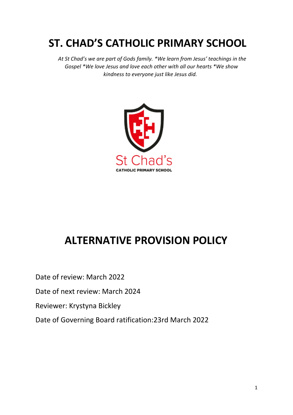# **ST. CHAD'S CATHOLIC PRIMARY SCHOOL**

 *At St Chad's we are part of Gods family. \*We learn from Jesus' teachings in the Gospel \*We love Jesus and love each other with all our hearts \*We show kindness to everyone just like Jesus did.*



# **ALTERNATIVE PROVISION POLICY**

Date of review: March 2022

Date of next review: March 2024

Reviewer: Krystyna Bickley

Date of Governing Board ratification:23rd March 2022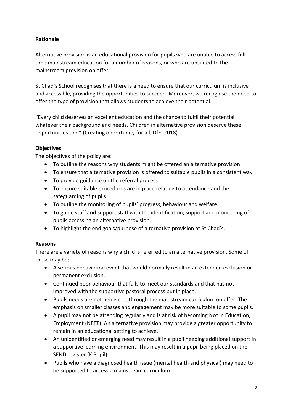# **Rationale**

Alternative provision is an educational provision for pupils who are unable to access fulltime mainstream education for a number of reasons, or who are unsuited to the mainstream provision on offer.

St Chad's School recognises that there is a need to ensure that our curriculum is inclusive and accessible, providing the opportunities to succeed. Moreover, we recognise the need to offer the type of provision that allows students to achieve their potential.

"Every child deserves an excellent education and the chance to fulfil their potential whatever their background and needs. Children in alternative provision deserve these opportunities too." (Creating opportunity for all, DfE, 2018)

#### **Objectives**

The objectives of the policy are:

- To outline the reasons why students might be offered an alternative provision
- To ensure that alternative provision is offered to suitable pupils in a consistent way
- To provide guidance on the referral process
- To ensure suitable procedures are in place relating to attendance and the safeguarding of pupils
- To outline the monitoring of pupils' progress, behaviour and welfare.
- To guide staff and support staff with the identification, support and monitoring of pupils accessing an alternative provision.
- To highlight the end goals/purpose of alternative provision at St Chad's.

#### **Reasons**

There are a variety of reasons why a child is referred to an alternative provision. Some of these may be;

- A serious behavioural event that would normally result in an extended exclusion or permanent exclusion.
- Continued poor behaviour that fails to meet our standards and that has not improved with the supportive pastoral process put in place.
- Pupils needs are not being met through the mainstream curriculum on offer. The emphasis on smaller classes and engagement may be more suitable to some pupils.
- A pupil may not be attending regularly and is at risk of becoming Not in Education, Employment (NEET). An alternative provision may provide a greater opportunity to remain in an educational setting to achieve.
- An unidentified or emerging need may result in a pupil needing additional support in a supportive learning environment. This may result in a pupil being placed on the SEND register (K Pupil)
- Pupils who have a diagnosed health issue (mental health and physical) may need to be supported to access a mainstream curriculum.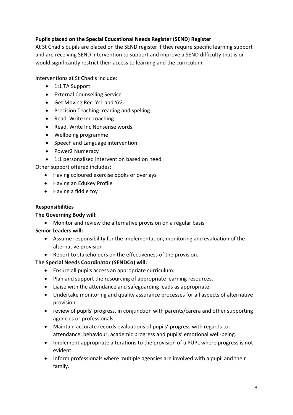# **Pupils placed on the Special Educational Needs Register (SEND) Register**

At St Chad's pupils are placed on the SEND register if they require specific learning support and are receiving SEND intervention to support and improve a SEND difficulty that is or would significantly restrict their access to learning and the curriculum.

Interventions at St Chad's include:

- 1:1 TA Support
- External Counselling Service
- Get Moving Rec. Yr1 and Yr2.
- Precision Teaching: reading and spelling.
- Read, Write Inc coaching
- Read, Write Inc Nonsense words
- Wellbeing programme
- Speech and Language intervention
- Power2 Numeracy
- 1:1 personalised intervention based on need

Other support offered includes:

- Having coloured exercise books or overlays
- Having an Edukey Profile
- Having a fiddle toy

# **Responsibilities**

# **The Governing Body will:**

• Monitor and review the alternative provision on a regular basis

# **Senior Leaders will:**

- Assume responsibility for the implementation, monitoring and evaluation of the alternative provision
- Report to stakeholders on the effectiveness of the provision.

# **The Special Needs Coordinator (SENDCo) will:**

- Ensure all pupils access an appropriate curriculum.
- Plan and support the resourcing of appropriate learning resources.
- Liaise with the attendance and safeguarding leads as appropriate.
- Undertake monitoring and quality assurance processes for all aspects of alternative provision.
- review of pupils' progress, in conjunction with parents/carera and other supporting agencies or professionals.
- Maintain accurate records evaluations of pupils' progress with regards to: attendance, behaviour, academic progress and pupils' emotional well-being.
- Implement appropriate alterations to the provision of a PUPL where progress is not evident.
- Inform professionals where multiple agencies are involved with a pupil and their family.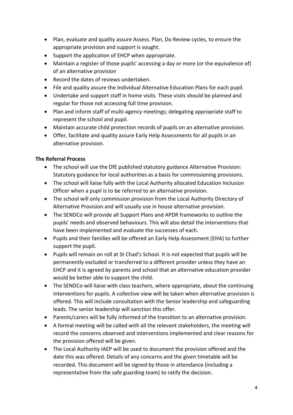- Plan, evaluate and quality assure Assess. Plan, Do Review cycles, to ensure the appropriate provision and support is sought.
- Support the application of EHCP when appropriate.
- Maintain a register of those pupils' accessing a day or more (or the equivalence of) of an alternative provision
- Record the dates of reviews undertaken.
- File and quality assure the Individual Alternative Education Plans for each pupil.
- Undertake and support staff in home visits. These visits should be planned and regular for those not accessing full time provision.
- Plan and inform staff of multi-agency meetings; delegating appropriate staff to represent the school and pupil.
- Maintain accurate child protection records of pupils on an alternative provision.
- Offer, facilitate and quality assure Early Help Assessments for all pupils in an alternative provision.

#### **The Referral Process**

- The school will use the DfE published statutory guidance Alternative Provision: Statutory guidance for local authorities as a basis for commissioning provisions.
- The school will liaise fully with the Local Authority allocated Education Inclusion Officer when a pupil is to be referred to an alternative provision.
- The school will only commission provision from the Local Authority Directory of Alternative Provision and will usually use in house alternative provision.
- The SENDCo will provide all Support Plans and APDR frameworks to outline the pupils' needs and observed behaviours. This will also detail the interventions that have been implemented and evaluate the successes of each.
- Pupils and their families will be offered an Early Help Assessment (EHA) to further support the pupil.
- Pupils will remain on roll at St Chad's School. It is not expected that pupils will be permanently excluded or transferred to a different provider unless they have an EHCP and it is agreed by parents and school that an alternative education provider would be better able to support the child.
- The SENDCo will liaise with class teachers, where appropriate, about the continuing interventions for pupils. A collective view will be taken when alternative provision is offered. This will include consultation with the Senior leadership and safeguarding leads. The senior leadership will sanction this offer.
- Parents/carers will be fully informed of the transition to an alternative provision.
- A formal meeting will be called with all the relevant stakeholders, the meeting will record the concerns observed and interventions implemented and clear reasons for the provision offered will be given.
- The Local Authority IAEP will be used to document the provision offered and the date this was offered. Details of any concerns and the given timetable will be recorded. This document will be signed by those in attendance (including a representative from the safe guarding team) to ratify the decision.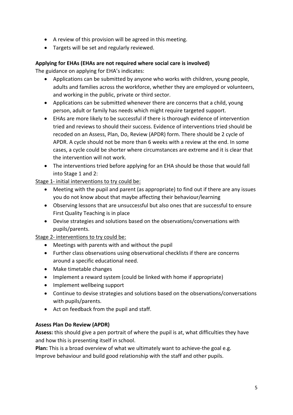- A review of this provision will be agreed in this meeting.
- Targets will be set and regularly reviewed.

# **Applying for EHAs (EHAs are not required where social care is involved)**

The guidance on applying for EHA's indicates:

- Applications can be submitted by anyone who works with children, young people, adults and families across the workforce, whether they are employed or volunteers, and working in the public, private or third sector.
- Applications can be submitted whenever there are concerns that a child, young person, adult or family has needs which might require targeted support.
- EHAs are more likely to be successful if there is thorough evidence of intervention tried and reviews to should their success. Evidence of interventions tried should be recoded on an Assess, Plan, Do, Review (APDR) form. There should be 2 cycle of APDR. A cycle should not be more than 6 weeks with a review at the end. In some cases, a cycle could be shorter where circumstances are extreme and it is clear that the intervention will not work.
- The interventions tried before applying for an EHA should be those that would fall into Stage 1 and 2:

Stage 1- initial interventions to try could be:

- Meeting with the pupil and parent (as appropriate) to find out if there are any issues you do not know about that maybe affecting their behaviour/learning
- Observing lessons that are unsuccessful but also ones that are successful to ensure First Quality Teaching is in place
- Devise strategies and solutions based on the observations/conversations with pupils/parents.

Stage 2- interventions to try could be:

- Meetings with parents with and without the pupil
- Further class observations using observational checklists if there are concerns around a specific educational need.
- Make timetable changes
- Implement a reward system (could be linked with home if appropriate)
- Implement wellbeing support
- Continue to devise strategies and solutions based on the observations/conversations with pupils/parents.
- Act on feedback from the pupil and staff.

# **Assess Plan Do Review (APDR)**

**Assess:** this should give a pen portrait of where the pupil is at, what difficulties they have and how this is presenting itself in school.

**Plan:** This is a broad overview of what we ultimately want to achieve-the goal e.g. Improve behaviour and build good relationship with the staff and other pupils.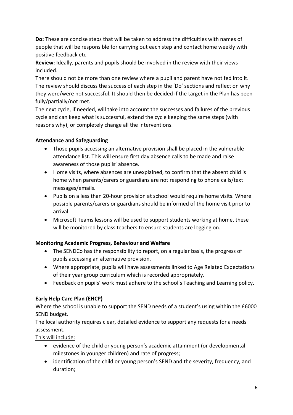**Do:** These are concise steps that will be taken to address the difficulties with names of people that will be responsible for carrying out each step and contact home weekly with positive feedback etc.

**Review:** Ideally, parents and pupils should be involved in the review with their views included.

There should not be more than one review where a pupil and parent have not fed into it. The review should discuss the success of each step in the 'Do' sections and reflect on why they were/were not successful. It should then be decided if the target in the Plan has been fully/partially/not met.

The next cycle, if needed, will take into account the successes and failures of the previous cycle and can keep what is successful, extend the cycle keeping the same steps (with reasons why), or completely change all the interventions.

# **Attendance and Safeguarding**

- Those pupils accessing an alternative provision shall be placed in the vulnerable attendance list. This will ensure first day absence calls to be made and raise awareness of those pupils' absence.
- Home visits, where absences are unexplained, to confirm that the absent child is home when parents/carers or guardians are not responding to phone calls/text messages/emails.
- Pupils on a less than 20-hour provision at school would require home visits. Where possible parents/carers or guardians should be informed of the home visit prior to arrival.
- Microsoft Teams lessons will be used to support students working at home, these will be monitored by class teachers to ensure students are logging on.

# **Monitoring Academic Progress, Behaviour and Welfare**

- The SENDCo has the responsibility to report, on a regular basis, the progress of pupils accessing an alternative provision.
- Where appropriate, pupils will have assessments linked to Age Related Expectations of their year group curriculum which is recorded appropriately.
- Feedback on pupils' work must adhere to the school's Teaching and Learning policy.

# **Early Help Care Plan (EHCP)**

Where the school is unable to support the SEND needs of a student's using within the £6000 SEND budget.

The local authority requires clear, detailed evidence to support any requests for a needs assessment.

This will include:

- evidence of the child or young person's academic attainment (or developmental milestones in younger children) and rate of progress;
- identification of the child or young person's SEND and the severity, frequency, and duration;